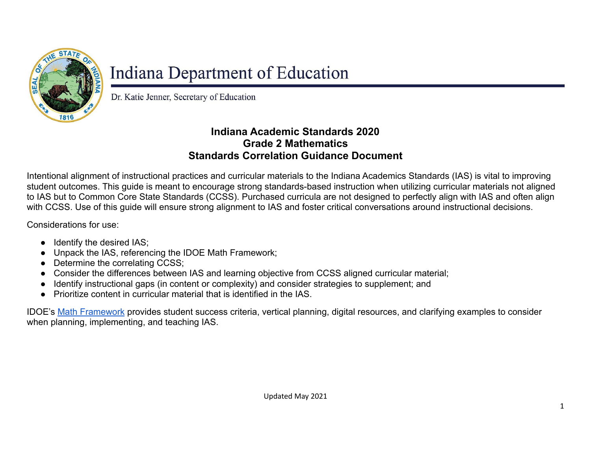

## Indiana Department of Education

Dr. Katie Jenner, Secretary of Education

## **Indiana Academic Standards 2020 Grade 2 Mathematics Standards Correlation Guidance Document**

Intentional alignment of instructional practices and curricular materials to the Indiana Academics Standards (IAS) is vital to improving student outcomes. This guide is meant to encourage strong standards-based instruction when utilizing curricular materials not aligned to IAS but to Common Core State Standards (CCSS). Purchased curricula are not designed to perfectly align with IAS and often align with CCSS. Use of this quide will ensure strong alignment to IAS and foster critical conversations around instructional decisions.

Considerations for use:

- Identify the desired IAS:
- Unpack the IAS, referencing the IDOE Math Framework;
- Determine the correlating CCSS;
- Consider the differences between IAS and learning objective from CCSS aligned curricular material;
- Identify instructional gaps (in content or complexity) and consider strategies to supplement; and
- Prioritize content in curricular material that is identified in the IAS.

IDOE's [Math Framework](https://inlearninglab.com/collections/math-frameworks) provides student success criteria, vertical planning, digital resources, and clarifying examples to consider when planning, implementing, and teaching IAS.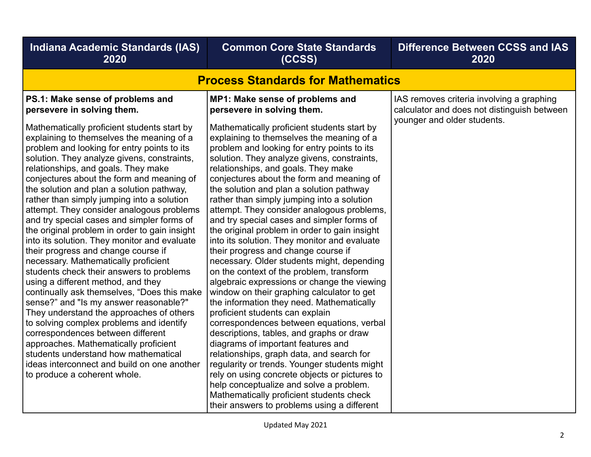| Indiana Academic Standards (IAS)<br>2020                                                                                                                                                                                                                                                                                                                                                                                                                                                                                                                                                                                                                                                                                                                                                                                                                                                                                                                                                                                                                                                                                 | <b>Common Core State Standards</b><br>(CCSS)                                                                                                                                                                                                                                                                                                                                                                                                                                                                                                                                                                                                                                                                                                                                                                                                                                                                                                                                                                                                                                                                                                                                                            | <b>Difference Between CCSS and IAS</b><br>2020                                           |
|--------------------------------------------------------------------------------------------------------------------------------------------------------------------------------------------------------------------------------------------------------------------------------------------------------------------------------------------------------------------------------------------------------------------------------------------------------------------------------------------------------------------------------------------------------------------------------------------------------------------------------------------------------------------------------------------------------------------------------------------------------------------------------------------------------------------------------------------------------------------------------------------------------------------------------------------------------------------------------------------------------------------------------------------------------------------------------------------------------------------------|---------------------------------------------------------------------------------------------------------------------------------------------------------------------------------------------------------------------------------------------------------------------------------------------------------------------------------------------------------------------------------------------------------------------------------------------------------------------------------------------------------------------------------------------------------------------------------------------------------------------------------------------------------------------------------------------------------------------------------------------------------------------------------------------------------------------------------------------------------------------------------------------------------------------------------------------------------------------------------------------------------------------------------------------------------------------------------------------------------------------------------------------------------------------------------------------------------|------------------------------------------------------------------------------------------|
|                                                                                                                                                                                                                                                                                                                                                                                                                                                                                                                                                                                                                                                                                                                                                                                                                                                                                                                                                                                                                                                                                                                          | <b>Process Standards for Mathematics</b>                                                                                                                                                                                                                                                                                                                                                                                                                                                                                                                                                                                                                                                                                                                                                                                                                                                                                                                                                                                                                                                                                                                                                                |                                                                                          |
| PS.1: Make sense of problems and<br>persevere in solving them.                                                                                                                                                                                                                                                                                                                                                                                                                                                                                                                                                                                                                                                                                                                                                                                                                                                                                                                                                                                                                                                           | MP1: Make sense of problems and<br>persevere in solving them.                                                                                                                                                                                                                                                                                                                                                                                                                                                                                                                                                                                                                                                                                                                                                                                                                                                                                                                                                                                                                                                                                                                                           | IAS removes criteria involving a graphing<br>calculator and does not distinguish between |
| Mathematically proficient students start by<br>explaining to themselves the meaning of a<br>problem and looking for entry points to its<br>solution. They analyze givens, constraints,<br>relationships, and goals. They make<br>conjectures about the form and meaning of<br>the solution and plan a solution pathway,<br>rather than simply jumping into a solution<br>attempt. They consider analogous problems<br>and try special cases and simpler forms of<br>the original problem in order to gain insight<br>into its solution. They monitor and evaluate<br>their progress and change course if<br>necessary. Mathematically proficient<br>students check their answers to problems<br>using a different method, and they<br>continually ask themselves, "Does this make<br>sense?" and "Is my answer reasonable?"<br>They understand the approaches of others<br>to solving complex problems and identify<br>correspondences between different<br>approaches. Mathematically proficient<br>students understand how mathematical<br>ideas interconnect and build on one another<br>to produce a coherent whole. | Mathematically proficient students start by<br>explaining to themselves the meaning of a<br>problem and looking for entry points to its<br>solution. They analyze givens, constraints,<br>relationships, and goals. They make<br>conjectures about the form and meaning of<br>the solution and plan a solution pathway<br>rather than simply jumping into a solution<br>attempt. They consider analogous problems,<br>and try special cases and simpler forms of<br>the original problem in order to gain insight<br>into its solution. They monitor and evaluate<br>their progress and change course if<br>necessary. Older students might, depending<br>on the context of the problem, transform<br>algebraic expressions or change the viewing<br>window on their graphing calculator to get<br>the information they need. Mathematically<br>proficient students can explain<br>correspondences between equations, verbal<br>descriptions, tables, and graphs or draw<br>diagrams of important features and<br>relationships, graph data, and search for<br>regularity or trends. Younger students might<br>rely on using concrete objects or pictures to<br>help conceptualize and solve a problem. | younger and older students.                                                              |
|                                                                                                                                                                                                                                                                                                                                                                                                                                                                                                                                                                                                                                                                                                                                                                                                                                                                                                                                                                                                                                                                                                                          | Mathematically proficient students check<br>their answers to problems using a different                                                                                                                                                                                                                                                                                                                                                                                                                                                                                                                                                                                                                                                                                                                                                                                                                                                                                                                                                                                                                                                                                                                 |                                                                                          |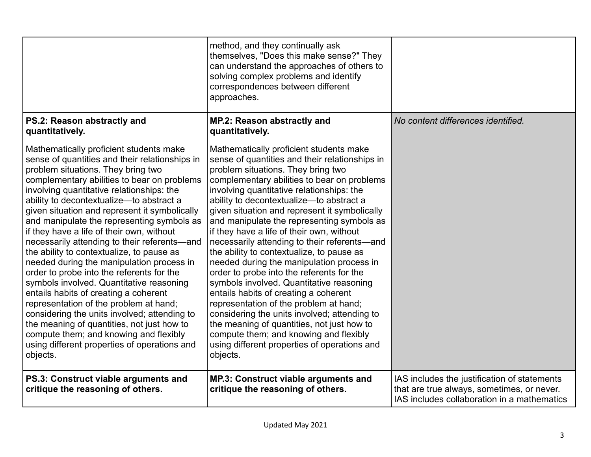|                                                                                                                                                                                                                                                                                                                                                                                                                                                                                                                                                                                                                                                                                                                                                                                                                                                                                                                                               | method, and they continually ask<br>themselves, "Does this make sense?" They<br>can understand the approaches of others to<br>solving complex problems and identify<br>correspondences between different<br>approaches.                                                                                                                                                                                                                                                                                                                                                                                                                                                                                                                                                                                                                                                                                                                       |                                                                                                                                           |
|-----------------------------------------------------------------------------------------------------------------------------------------------------------------------------------------------------------------------------------------------------------------------------------------------------------------------------------------------------------------------------------------------------------------------------------------------------------------------------------------------------------------------------------------------------------------------------------------------------------------------------------------------------------------------------------------------------------------------------------------------------------------------------------------------------------------------------------------------------------------------------------------------------------------------------------------------|-----------------------------------------------------------------------------------------------------------------------------------------------------------------------------------------------------------------------------------------------------------------------------------------------------------------------------------------------------------------------------------------------------------------------------------------------------------------------------------------------------------------------------------------------------------------------------------------------------------------------------------------------------------------------------------------------------------------------------------------------------------------------------------------------------------------------------------------------------------------------------------------------------------------------------------------------|-------------------------------------------------------------------------------------------------------------------------------------------|
| PS.2: Reason abstractly and<br>quantitatively.                                                                                                                                                                                                                                                                                                                                                                                                                                                                                                                                                                                                                                                                                                                                                                                                                                                                                                | MP.2: Reason abstractly and<br>quantitatively.                                                                                                                                                                                                                                                                                                                                                                                                                                                                                                                                                                                                                                                                                                                                                                                                                                                                                                | No content differences identified.                                                                                                        |
| Mathematically proficient students make<br>sense of quantities and their relationships in<br>problem situations. They bring two<br>complementary abilities to bear on problems<br>involving quantitative relationships: the<br>ability to decontextualize-to abstract a<br>given situation and represent it symbolically<br>and manipulate the representing symbols as<br>if they have a life of their own, without<br>necessarily attending to their referents-and<br>the ability to contextualize, to pause as<br>needed during the manipulation process in<br>order to probe into the referents for the<br>symbols involved. Quantitative reasoning<br>entails habits of creating a coherent<br>representation of the problem at hand;<br>considering the units involved; attending to<br>the meaning of quantities, not just how to<br>compute them; and knowing and flexibly<br>using different properties of operations and<br>objects. | Mathematically proficient students make<br>sense of quantities and their relationships in<br>problem situations. They bring two<br>complementary abilities to bear on problems<br>involving quantitative relationships: the<br>ability to decontextualize-to abstract a<br>given situation and represent it symbolically<br>and manipulate the representing symbols as<br>if they have a life of their own, without<br>necessarily attending to their referents-and<br>the ability to contextualize, to pause as<br>needed during the manipulation process in<br>order to probe into the referents for the<br>symbols involved. Quantitative reasoning<br>entails habits of creating a coherent<br>representation of the problem at hand;<br>considering the units involved; attending to<br>the meaning of quantities, not just how to<br>compute them; and knowing and flexibly<br>using different properties of operations and<br>objects. |                                                                                                                                           |
| PS.3: Construct viable arguments and<br>critique the reasoning of others.                                                                                                                                                                                                                                                                                                                                                                                                                                                                                                                                                                                                                                                                                                                                                                                                                                                                     | <b>MP.3: Construct viable arguments and</b><br>critique the reasoning of others.                                                                                                                                                                                                                                                                                                                                                                                                                                                                                                                                                                                                                                                                                                                                                                                                                                                              | IAS includes the justification of statements<br>that are true always, sometimes, or never.<br>IAS includes collaboration in a mathematics |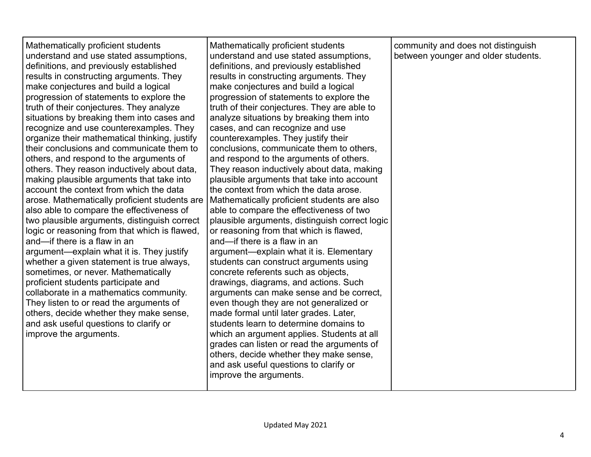Mathematically proficient students understand and use stated assumptions, definitions, and previously established results in constructing arguments. They make conjectures and build a logical progression of statements to explore the truth of their conjectures. They analyze situations by breaking them into cases and recognize and use counterexamples. They organize their mathematical thinking, justify their conclusions and communicate them to others, and respond to the arguments of others. They reason inductively about data, making plausible arguments that take into account the context from which the data arose. Mathematically proficient students are also able to compare the effectiveness of two plausible arguments, distinguish correct logic or reasoning from that which is flawed, and—if there is a flaw in an argument—explain what it is. They justify whether a given statement is true always, sometimes, or never. Mathematically proficient students participate and collaborate in a mathematics community. They listen to or read the arguments of others, decide whether they make sense, and ask useful questions to clarify or improve the arguments. Mathematically proficient students understand and use stated assumptions, definitions, and previously established results in constructing arguments. They make conjectures and build a logical progression of statements to explore the truth of their conjectures. They are able to analyze situations by breaking them into cases, and can recognize and use counterexamples. They justify their conclusions, communicate them to others, and respond to the arguments of others. They reason inductively about data, making plausible arguments that take into account the context from which the data arose. Mathematically proficient students are also able to compare the effectiveness of two plausible arguments, distinguish correct logic or reasoning from that which is flawed, and—if there is a flaw in an argument—explain what it is. Elementary students can construct arguments using concrete referents such as objects, drawings, diagrams, and actions. Such arguments can make sense and be correct, even though they are not generalized or made formal until later grades. Later, students learn to determine domains to which an argument applies. Students at all grades can listen or read the arguments of others, decide whether they make sense, and ask useful questions to clarify or improve the arguments. community and does not distinguish between younger and older students.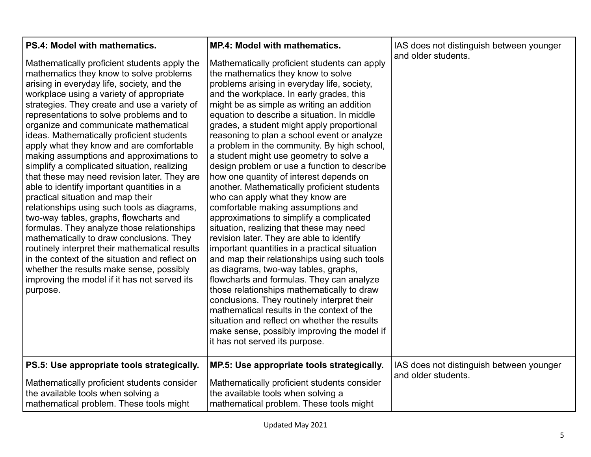| <b>PS.4: Model with mathematics.</b>                                                                                                                                                                                                                                                                                                                                                                                                                                                                                                                                                                                                                                                                                                                                                                                                                                                                                                                                                                                                         | <b>MP.4: Model with mathematics.</b>                                                                                                                                                                                                                                                                                                                                                                                                                                                                                                                                                                                                                                                                                                                                                                                                                                                                                                                                                                                                                                                                                                                                                                                                                                                        | IAS does not distinguish between younger<br>and older students. |
|----------------------------------------------------------------------------------------------------------------------------------------------------------------------------------------------------------------------------------------------------------------------------------------------------------------------------------------------------------------------------------------------------------------------------------------------------------------------------------------------------------------------------------------------------------------------------------------------------------------------------------------------------------------------------------------------------------------------------------------------------------------------------------------------------------------------------------------------------------------------------------------------------------------------------------------------------------------------------------------------------------------------------------------------|---------------------------------------------------------------------------------------------------------------------------------------------------------------------------------------------------------------------------------------------------------------------------------------------------------------------------------------------------------------------------------------------------------------------------------------------------------------------------------------------------------------------------------------------------------------------------------------------------------------------------------------------------------------------------------------------------------------------------------------------------------------------------------------------------------------------------------------------------------------------------------------------------------------------------------------------------------------------------------------------------------------------------------------------------------------------------------------------------------------------------------------------------------------------------------------------------------------------------------------------------------------------------------------------|-----------------------------------------------------------------|
| Mathematically proficient students apply the<br>mathematics they know to solve problems<br>arising in everyday life, society, and the<br>workplace using a variety of appropriate<br>strategies. They create and use a variety of<br>representations to solve problems and to<br>organize and communicate mathematical<br>ideas. Mathematically proficient students<br>apply what they know and are comfortable<br>making assumptions and approximations to<br>simplify a complicated situation, realizing<br>that these may need revision later. They are<br>able to identify important quantities in a<br>practical situation and map their<br>relationships using such tools as diagrams,<br>two-way tables, graphs, flowcharts and<br>formulas. They analyze those relationships<br>mathematically to draw conclusions. They<br>routinely interpret their mathematical results<br>in the context of the situation and reflect on<br>whether the results make sense, possibly<br>improving the model if it has not served its<br>purpose. | Mathematically proficient students can apply<br>the mathematics they know to solve<br>problems arising in everyday life, society,<br>and the workplace. In early grades, this<br>might be as simple as writing an addition<br>equation to describe a situation. In middle<br>grades, a student might apply proportional<br>reasoning to plan a school event or analyze<br>a problem in the community. By high school,<br>a student might use geometry to solve a<br>design problem or use a function to describe<br>how one quantity of interest depends on<br>another. Mathematically proficient students<br>who can apply what they know are<br>comfortable making assumptions and<br>approximations to simplify a complicated<br>situation, realizing that these may need<br>revision later. They are able to identify<br>important quantities in a practical situation<br>and map their relationships using such tools<br>as diagrams, two-way tables, graphs,<br>flowcharts and formulas. They can analyze<br>those relationships mathematically to draw<br>conclusions. They routinely interpret their<br>mathematical results in the context of the<br>situation and reflect on whether the results<br>make sense, possibly improving the model if<br>it has not served its purpose. |                                                                 |
| PS.5: Use appropriate tools strategically.                                                                                                                                                                                                                                                                                                                                                                                                                                                                                                                                                                                                                                                                                                                                                                                                                                                                                                                                                                                                   | MP.5: Use appropriate tools strategically.                                                                                                                                                                                                                                                                                                                                                                                                                                                                                                                                                                                                                                                                                                                                                                                                                                                                                                                                                                                                                                                                                                                                                                                                                                                  | IAS does not distinguish between younger                        |
| Mathematically proficient students consider<br>the available tools when solving a<br>mathematical problem. These tools might                                                                                                                                                                                                                                                                                                                                                                                                                                                                                                                                                                                                                                                                                                                                                                                                                                                                                                                 | Mathematically proficient students consider<br>the available tools when solving a<br>mathematical problem. These tools might                                                                                                                                                                                                                                                                                                                                                                                                                                                                                                                                                                                                                                                                                                                                                                                                                                                                                                                                                                                                                                                                                                                                                                | and older students.                                             |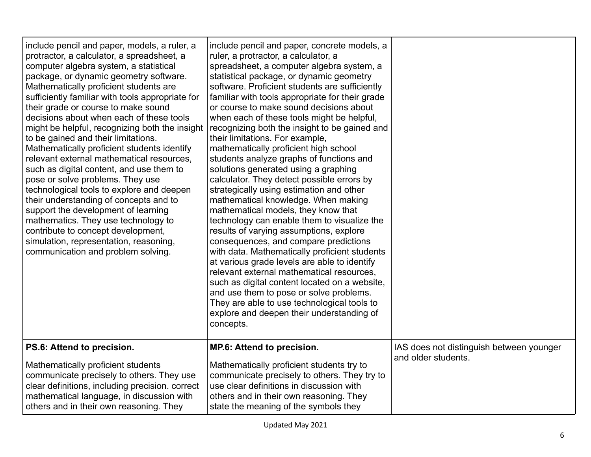| include pencil and paper, models, a ruler, a<br>protractor, a calculator, a spreadsheet, a<br>computer algebra system, a statistical<br>package, or dynamic geometry software.<br>Mathematically proficient students are<br>sufficiently familiar with tools appropriate for<br>their grade or course to make sound<br>decisions about when each of these tools<br>might be helpful, recognizing both the insight<br>to be gained and their limitations.<br>Mathematically proficient students identify<br>relevant external mathematical resources,<br>such as digital content, and use them to<br>pose or solve problems. They use<br>technological tools to explore and deepen<br>their understanding of concepts and to<br>support the development of learning<br>mathematics. They use technology to<br>contribute to concept development,<br>simulation, representation, reasoning,<br>communication and problem solving. | include pencil and paper, concrete models, a<br>ruler, a protractor, a calculator, a<br>spreadsheet, a computer algebra system, a<br>statistical package, or dynamic geometry<br>software. Proficient students are sufficiently<br>familiar with tools appropriate for their grade<br>or course to make sound decisions about<br>when each of these tools might be helpful,<br>recognizing both the insight to be gained and<br>their limitations. For example,<br>mathematically proficient high school<br>students analyze graphs of functions and<br>solutions generated using a graphing<br>calculator. They detect possible errors by<br>strategically using estimation and other<br>mathematical knowledge. When making<br>mathematical models, they know that<br>technology can enable them to visualize the<br>results of varying assumptions, explore<br>consequences, and compare predictions<br>with data. Mathematically proficient students<br>at various grade levels are able to identify<br>relevant external mathematical resources,<br>such as digital content located on a website,<br>and use them to pose or solve problems.<br>They are able to use technological tools to<br>explore and deepen their understanding of<br>concepts. |                                                                 |
|---------------------------------------------------------------------------------------------------------------------------------------------------------------------------------------------------------------------------------------------------------------------------------------------------------------------------------------------------------------------------------------------------------------------------------------------------------------------------------------------------------------------------------------------------------------------------------------------------------------------------------------------------------------------------------------------------------------------------------------------------------------------------------------------------------------------------------------------------------------------------------------------------------------------------------|------------------------------------------------------------------------------------------------------------------------------------------------------------------------------------------------------------------------------------------------------------------------------------------------------------------------------------------------------------------------------------------------------------------------------------------------------------------------------------------------------------------------------------------------------------------------------------------------------------------------------------------------------------------------------------------------------------------------------------------------------------------------------------------------------------------------------------------------------------------------------------------------------------------------------------------------------------------------------------------------------------------------------------------------------------------------------------------------------------------------------------------------------------------------------------------------------------------------------------------------------------|-----------------------------------------------------------------|
| PS.6: Attend to precision.<br>Mathematically proficient students<br>communicate precisely to others. They use<br>clear definitions, including precision. correct<br>mathematical language, in discussion with<br>others and in their own reasoning. They                                                                                                                                                                                                                                                                                                                                                                                                                                                                                                                                                                                                                                                                        | MP.6: Attend to precision.<br>Mathematically proficient students try to<br>communicate precisely to others. They try to<br>use clear definitions in discussion with<br>others and in their own reasoning. They<br>state the meaning of the symbols they                                                                                                                                                                                                                                                                                                                                                                                                                                                                                                                                                                                                                                                                                                                                                                                                                                                                                                                                                                                                    | IAS does not distinguish between younger<br>and older students. |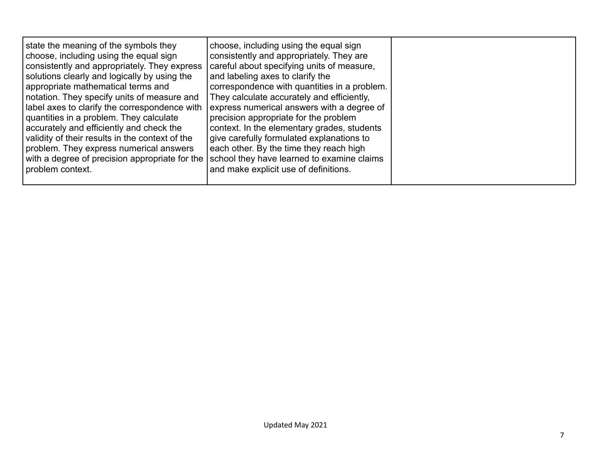| state the meaning of the symbols they<br>choose, including using the equal sign<br>consistently and appropriately. They express<br>solutions clearly and logically by using the<br>appropriate mathematical terms and<br>notation. They specify units of measure and<br>label axes to clarify the correspondence with<br>quantities in a problem. They calculate<br>accurately and efficiently and check the<br>validity of their results in the context of the<br>problem. They express numerical answers<br>with a degree of precision appropriate for the<br>problem context. | choose, including using the equal sign<br>consistently and appropriately. They are<br>careful about specifying units of measure,<br>and labeling axes to clarify the<br>correspondence with quantities in a problem.<br>They calculate accurately and efficiently,<br>express numerical answers with a degree of<br>precision appropriate for the problem<br>context. In the elementary grades, students<br>give carefully formulated explanations to<br>each other. By the time they reach high<br>school they have learned to examine claims<br>and make explicit use of definitions. |  |
|----------------------------------------------------------------------------------------------------------------------------------------------------------------------------------------------------------------------------------------------------------------------------------------------------------------------------------------------------------------------------------------------------------------------------------------------------------------------------------------------------------------------------------------------------------------------------------|-----------------------------------------------------------------------------------------------------------------------------------------------------------------------------------------------------------------------------------------------------------------------------------------------------------------------------------------------------------------------------------------------------------------------------------------------------------------------------------------------------------------------------------------------------------------------------------------|--|
|----------------------------------------------------------------------------------------------------------------------------------------------------------------------------------------------------------------------------------------------------------------------------------------------------------------------------------------------------------------------------------------------------------------------------------------------------------------------------------------------------------------------------------------------------------------------------------|-----------------------------------------------------------------------------------------------------------------------------------------------------------------------------------------------------------------------------------------------------------------------------------------------------------------------------------------------------------------------------------------------------------------------------------------------------------------------------------------------------------------------------------------------------------------------------------------|--|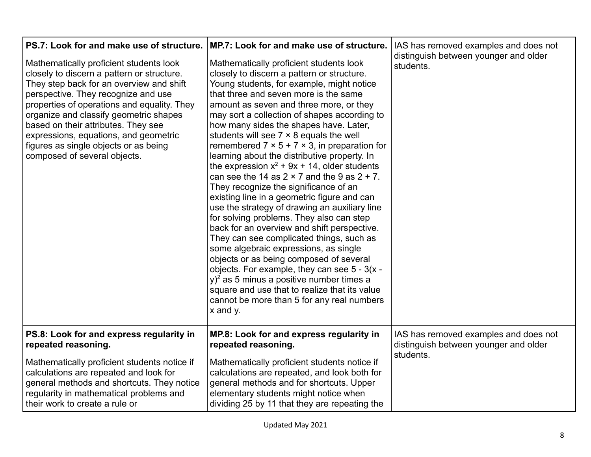| PS.7: Look for and make use of structure.<br>Mathematically proficient students look<br>closely to discern a pattern or structure.<br>They step back for an overview and shift<br>perspective. They recognize and use<br>properties of operations and equality. They<br>organize and classify geometric shapes<br>based on their attributes. They see<br>expressions, equations, and geometric<br>figures as single objects or as being<br>composed of several objects. | MP.7: Look for and make use of structure.<br>Mathematically proficient students look<br>closely to discern a pattern or structure.<br>Young students, for example, might notice<br>that three and seven more is the same<br>amount as seven and three more, or they<br>may sort a collection of shapes according to<br>how many sides the shapes have. Later,<br>students will see $7 \times 8$ equals the well<br>remembered $7 \times 5 + 7 \times 3$ , in preparation for<br>learning about the distributive property. In<br>the expression $x^2$ + 9x + 14, older students<br>can see the 14 as $2 \times 7$ and the 9 as $2 + 7$ .<br>They recognize the significance of an<br>existing line in a geometric figure and can<br>use the strategy of drawing an auxiliary line<br>for solving problems. They also can step<br>back for an overview and shift perspective.<br>They can see complicated things, such as<br>some algebraic expressions, as single<br>objects or as being composed of several<br>objects. For example, they can see 5 - 3(x -<br>$y$ <sup>2</sup> as 5 minus a positive number times a<br>square and use that to realize that its value<br>cannot be more than 5 for any real numbers<br>x and y. | IAS has removed examples and does not<br>distinguish between younger and older<br>students. |
|-------------------------------------------------------------------------------------------------------------------------------------------------------------------------------------------------------------------------------------------------------------------------------------------------------------------------------------------------------------------------------------------------------------------------------------------------------------------------|---------------------------------------------------------------------------------------------------------------------------------------------------------------------------------------------------------------------------------------------------------------------------------------------------------------------------------------------------------------------------------------------------------------------------------------------------------------------------------------------------------------------------------------------------------------------------------------------------------------------------------------------------------------------------------------------------------------------------------------------------------------------------------------------------------------------------------------------------------------------------------------------------------------------------------------------------------------------------------------------------------------------------------------------------------------------------------------------------------------------------------------------------------------------------------------------------------------------------------|---------------------------------------------------------------------------------------------|
| PS.8: Look for and express regularity in<br>repeated reasoning.<br>Mathematically proficient students notice if<br>calculations are repeated and look for<br>general methods and shortcuts. They notice<br>regularity in mathematical problems and<br>their work to create a rule or                                                                                                                                                                                    | MP.8: Look for and express regularity in<br>repeated reasoning.<br>Mathematically proficient students notice if<br>calculations are repeated, and look both for<br>general methods and for shortcuts. Upper<br>elementary students might notice when<br>dividing 25 by 11 that they are repeating the                                                                                                                                                                                                                                                                                                                                                                                                                                                                                                                                                                                                                                                                                                                                                                                                                                                                                                                           | IAS has removed examples and does not<br>distinguish between younger and older<br>students. |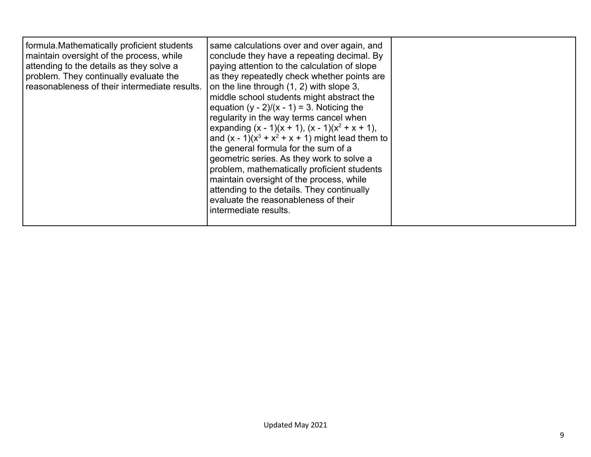| formula. Mathematically proficient students<br>maintain oversight of the process, while<br>attending to the details as they solve a<br>problem. They continually evaluate the<br>reasonableness of their intermediate results. | same calculations over and over again, and<br>conclude they have a repeating decimal. By<br>paying attention to the calculation of slope<br>as they repeatedly check whether points are<br>on the line through (1, 2) with slope 3,<br>middle school students might abstract the<br>equation $(y - 2)/(x - 1) = 3$ . Noticing the<br>regularity in the way terms cancel when<br>expanding $(x - 1)(x + 1)$ , $(x - 1)(x2 + x + 1)$ ,<br>and $(x - 1)(x^3 + x^2 + x + 1)$ might lead them to<br>the general formula for the sum of a<br>geometric series. As they work to solve a<br>problem, mathematically proficient students<br>maintain oversight of the process, while<br>attending to the details. They continually<br>evaluate the reasonableness of their<br>intermediate results. |  |
|--------------------------------------------------------------------------------------------------------------------------------------------------------------------------------------------------------------------------------|--------------------------------------------------------------------------------------------------------------------------------------------------------------------------------------------------------------------------------------------------------------------------------------------------------------------------------------------------------------------------------------------------------------------------------------------------------------------------------------------------------------------------------------------------------------------------------------------------------------------------------------------------------------------------------------------------------------------------------------------------------------------------------------------|--|
|--------------------------------------------------------------------------------------------------------------------------------------------------------------------------------------------------------------------------------|--------------------------------------------------------------------------------------------------------------------------------------------------------------------------------------------------------------------------------------------------------------------------------------------------------------------------------------------------------------------------------------------------------------------------------------------------------------------------------------------------------------------------------------------------------------------------------------------------------------------------------------------------------------------------------------------------------------------------------------------------------------------------------------------|--|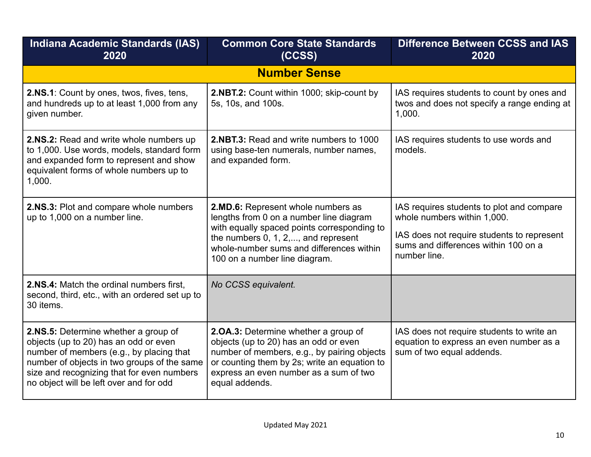| <b>Indiana Academic Standards (IAS)</b><br>2020                                                                                                                                                                                                                   | <b>Common Core State Standards</b><br>(CCSS)                                                                                                                                                                                                               | <b>Difference Between CCSS and IAS</b><br>2020                                                                                                                                 |
|-------------------------------------------------------------------------------------------------------------------------------------------------------------------------------------------------------------------------------------------------------------------|------------------------------------------------------------------------------------------------------------------------------------------------------------------------------------------------------------------------------------------------------------|--------------------------------------------------------------------------------------------------------------------------------------------------------------------------------|
|                                                                                                                                                                                                                                                                   | <b>Number Sense</b>                                                                                                                                                                                                                                        |                                                                                                                                                                                |
| 2.NS.1: Count by ones, twos, fives, tens,<br>and hundreds up to at least 1,000 from any<br>given number.                                                                                                                                                          | 2.NBT.2: Count within 1000; skip-count by<br>5s, 10s, and 100s.                                                                                                                                                                                            | IAS requires students to count by ones and<br>twos and does not specify a range ending at<br>1,000.                                                                            |
| 2.NS.2: Read and write whole numbers up<br>to 1,000. Use words, models, standard form<br>and expanded form to represent and show<br>equivalent forms of whole numbers up to<br>1,000.                                                                             | <b>2.NBT.3: Read and write numbers to 1000</b><br>using base-ten numerals, number names,<br>and expanded form.                                                                                                                                             | IAS requires students to use words and<br>models.                                                                                                                              |
| 2.NS.3: Plot and compare whole numbers<br>up to 1,000 on a number line.                                                                                                                                                                                           | 2.MD.6: Represent whole numbers as<br>lengths from 0 on a number line diagram<br>with equally spaced points corresponding to<br>the numbers $0, 1, 2, \ldots$ , and represent<br>whole-number sums and differences within<br>100 on a number line diagram. | IAS requires students to plot and compare<br>whole numbers within 1,000.<br>IAS does not require students to represent<br>sums and differences within 100 on a<br>number line. |
| <b>2.NS.4:</b> Match the ordinal numbers first,<br>second, third, etc., with an ordered set up to<br>30 items.                                                                                                                                                    | No CCSS equivalent.                                                                                                                                                                                                                                        |                                                                                                                                                                                |
| 2.NS.5: Determine whether a group of<br>objects (up to 20) has an odd or even<br>number of members (e.g., by placing that<br>number of objects in two groups of the same<br>size and recognizing that for even numbers<br>no object will be left over and for odd | 2.0A.3: Determine whether a group of<br>objects (up to 20) has an odd or even<br>number of members, e.g., by pairing objects<br>or counting them by 2s; write an equation to<br>express an even number as a sum of two<br>equal addends.                   | IAS does not require students to write an<br>equation to express an even number as a<br>sum of two equal addends.                                                              |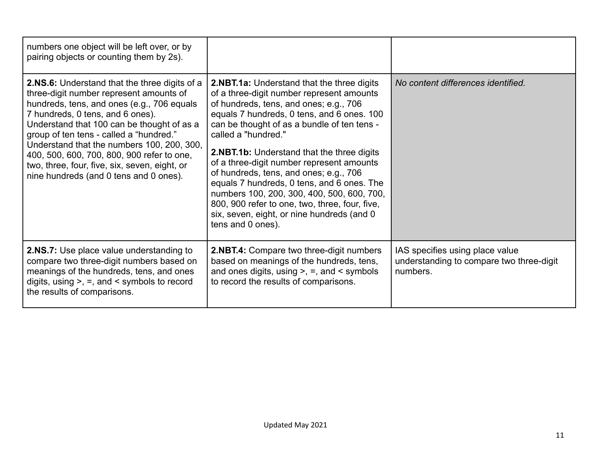| numbers one object will be left over, or by<br>pairing objects or counting them by 2s).                                                                                                                                                                                                                                                                                                                                                                           |                                                                                                                                                                                                                                                                                                                                                                                                                                                                                                                                                                                                                            |                                                                                         |
|-------------------------------------------------------------------------------------------------------------------------------------------------------------------------------------------------------------------------------------------------------------------------------------------------------------------------------------------------------------------------------------------------------------------------------------------------------------------|----------------------------------------------------------------------------------------------------------------------------------------------------------------------------------------------------------------------------------------------------------------------------------------------------------------------------------------------------------------------------------------------------------------------------------------------------------------------------------------------------------------------------------------------------------------------------------------------------------------------------|-----------------------------------------------------------------------------------------|
| <b>2.NS.6:</b> Understand that the three digits of a<br>three-digit number represent amounts of<br>hundreds, tens, and ones (e.g., 706 equals<br>7 hundreds, 0 tens, and 6 ones).<br>Understand that 100 can be thought of as a<br>group of ten tens - called a "hundred."<br>Understand that the numbers 100, 200, 300,<br>400, 500, 600, 700, 800, 900 refer to one,<br>two, three, four, five, six, seven, eight, or<br>nine hundreds (and 0 tens and 0 ones). | <b>2.NBT.1a:</b> Understand that the three digits<br>of a three-digit number represent amounts<br>of hundreds, tens, and ones; e.g., 706<br>equals 7 hundreds, 0 tens, and 6 ones. 100<br>can be thought of as a bundle of ten tens -<br>called a "hundred."<br><b>2.NBT.1b:</b> Understand that the three digits<br>of a three-digit number represent amounts<br>of hundreds, tens, and ones; e.g., 706<br>equals 7 hundreds, 0 tens, and 6 ones. The<br>numbers 100, 200, 300, 400, 500, 600, 700,<br>800, 900 refer to one, two, three, four, five,<br>six, seven, eight, or nine hundreds (and 0)<br>tens and 0 ones). | No content differences identified.                                                      |
| 2.NS.7: Use place value understanding to<br>compare two three-digit numbers based on<br>meanings of the hundreds, tens, and ones<br>digits, using $>$ , $=$ , and $\le$ symbols to record<br>the results of comparisons.                                                                                                                                                                                                                                          | 2.NBT.4: Compare two three-digit numbers<br>based on meanings of the hundreds, tens,<br>and ones digits, using $>$ , $=$ , and $\le$ symbols<br>to record the results of comparisons.                                                                                                                                                                                                                                                                                                                                                                                                                                      | IAS specifies using place value<br>understanding to compare two three-digit<br>numbers. |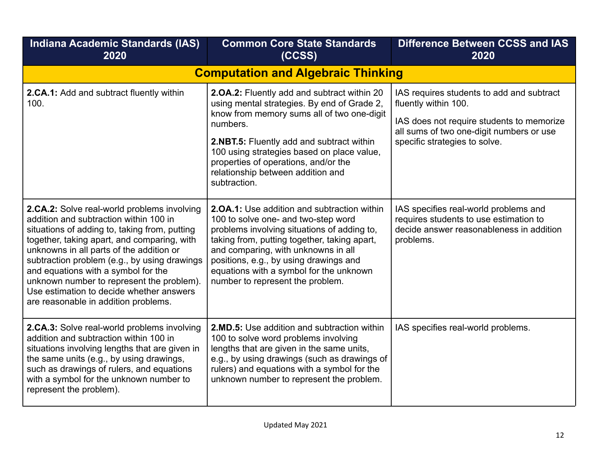| <b>Indiana Academic Standards (IAS)</b><br>2020                                                                                                                                                                                                                                                                                                                                                                                                           | <b>Common Core State Standards</b><br>(CCSS)                                                                                                                                                                                                                                                                                                             | <b>Difference Between CCSS and IAS</b><br>2020                                                                                                                                              |
|-----------------------------------------------------------------------------------------------------------------------------------------------------------------------------------------------------------------------------------------------------------------------------------------------------------------------------------------------------------------------------------------------------------------------------------------------------------|----------------------------------------------------------------------------------------------------------------------------------------------------------------------------------------------------------------------------------------------------------------------------------------------------------------------------------------------------------|---------------------------------------------------------------------------------------------------------------------------------------------------------------------------------------------|
|                                                                                                                                                                                                                                                                                                                                                                                                                                                           | <b>Computation and Algebraic Thinking</b>                                                                                                                                                                                                                                                                                                                |                                                                                                                                                                                             |
| 2.CA.1: Add and subtract fluently within<br>100.                                                                                                                                                                                                                                                                                                                                                                                                          | 2. OA. 2: Fluently add and subtract within 20<br>using mental strategies. By end of Grade 2,<br>know from memory sums all of two one-digit<br>numbers.<br>2.NBT.5: Fluently add and subtract within<br>100 using strategies based on place value,<br>properties of operations, and/or the<br>relationship between addition and<br>subtraction.           | IAS requires students to add and subtract<br>fluently within 100.<br>IAS does not require students to memorize<br>all sums of two one-digit numbers or use<br>specific strategies to solve. |
| 2.CA.2: Solve real-world problems involving<br>addition and subtraction within 100 in<br>situations of adding to, taking from, putting<br>together, taking apart, and comparing, with<br>unknowns in all parts of the addition or<br>subtraction problem (e.g., by using drawings<br>and equations with a symbol for the<br>unknown number to represent the problem).<br>Use estimation to decide whether answers<br>are reasonable in addition problems. | <b>2.0A.1:</b> Use addition and subtraction within<br>100 to solve one- and two-step word<br>problems involving situations of adding to,<br>taking from, putting together, taking apart,<br>and comparing, with unknowns in all<br>positions, e.g., by using drawings and<br>equations with a symbol for the unknown<br>number to represent the problem. | IAS specifies real-world problems and<br>requires students to use estimation to<br>decide answer reasonableness in addition<br>problems.                                                    |
| 2.CA.3: Solve real-world problems involving<br>addition and subtraction within 100 in<br>situations involving lengths that are given in<br>the same units (e.g., by using drawings,<br>such as drawings of rulers, and equations<br>with a symbol for the unknown number to<br>represent the problem).                                                                                                                                                    | <b>2.MD.5:</b> Use addition and subtraction within<br>100 to solve word problems involving<br>lengths that are given in the same units,<br>e.g., by using drawings (such as drawings of<br>rulers) and equations with a symbol for the<br>unknown number to represent the problem.                                                                       | IAS specifies real-world problems.                                                                                                                                                          |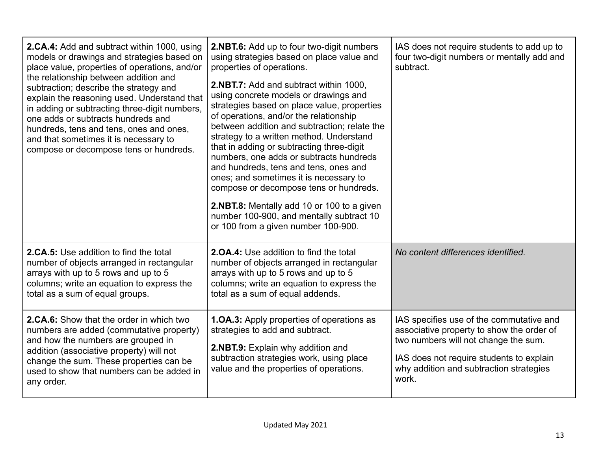| <b>2.CA.4:</b> Add and subtract within 1000, using<br>models or drawings and strategies based on<br>place value, properties of operations, and/or<br>the relationship between addition and<br>subtraction; describe the strategy and<br>explain the reasoning used. Understand that<br>in adding or subtracting three-digit numbers,<br>one adds or subtracts hundreds and<br>hundreds, tens and tens, ones and ones,<br>and that sometimes it is necessary to<br>compose or decompose tens or hundreds. | 2.NBT.6: Add up to four two-digit numbers<br>using strategies based on place value and<br>properties of operations.<br>2.NBT.7: Add and subtract within 1000,<br>using concrete models or drawings and<br>strategies based on place value, properties<br>of operations, and/or the relationship<br>between addition and subtraction; relate the<br>strategy to a written method. Understand<br>that in adding or subtracting three-digit<br>numbers, one adds or subtracts hundreds<br>and hundreds, tens and tens, ones and<br>ones; and sometimes it is necessary to<br>compose or decompose tens or hundreds.<br>2.NBT.8: Mentally add 10 or 100 to a given<br>number 100-900, and mentally subtract 10<br>or 100 from a given number 100-900. | IAS does not require students to add up to<br>four two-digit numbers or mentally add and<br>subtract.                                                                                                                         |
|----------------------------------------------------------------------------------------------------------------------------------------------------------------------------------------------------------------------------------------------------------------------------------------------------------------------------------------------------------------------------------------------------------------------------------------------------------------------------------------------------------|---------------------------------------------------------------------------------------------------------------------------------------------------------------------------------------------------------------------------------------------------------------------------------------------------------------------------------------------------------------------------------------------------------------------------------------------------------------------------------------------------------------------------------------------------------------------------------------------------------------------------------------------------------------------------------------------------------------------------------------------------|-------------------------------------------------------------------------------------------------------------------------------------------------------------------------------------------------------------------------------|
| <b>2.CA.5:</b> Use addition to find the total<br>number of objects arranged in rectangular<br>arrays with up to 5 rows and up to 5<br>columns; write an equation to express the<br>total as a sum of equal groups.                                                                                                                                                                                                                                                                                       | <b>2.OA.4:</b> Use addition to find the total<br>number of objects arranged in rectangular<br>arrays with up to 5 rows and up to 5<br>columns; write an equation to express the<br>total as a sum of equal addends.                                                                                                                                                                                                                                                                                                                                                                                                                                                                                                                               | No content differences identified.                                                                                                                                                                                            |
| 2.CA.6: Show that the order in which two<br>numbers are added (commutative property)<br>and how the numbers are grouped in<br>addition (associative property) will not<br>change the sum. These properties can be<br>used to show that numbers can be added in<br>any order.                                                                                                                                                                                                                             | <b>1.OA.3:</b> Apply properties of operations as<br>strategies to add and subtract.<br>2.NBT.9: Explain why addition and<br>subtraction strategies work, using place<br>value and the properties of operations.                                                                                                                                                                                                                                                                                                                                                                                                                                                                                                                                   | IAS specifies use of the commutative and<br>associative property to show the order of<br>two numbers will not change the sum.<br>IAS does not require students to explain<br>why addition and subtraction strategies<br>work. |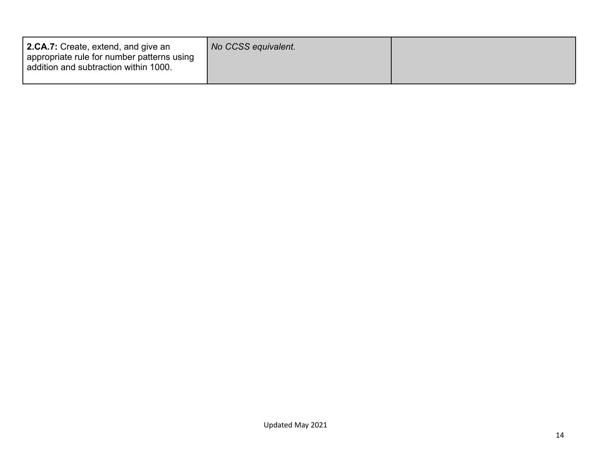| 2.CA.7: Create, extend, and give an<br>appropriate rule for number patterns using<br>addition and subtraction within 1000. | No CCSS equivalent. |  |
|----------------------------------------------------------------------------------------------------------------------------|---------------------|--|
|----------------------------------------------------------------------------------------------------------------------------|---------------------|--|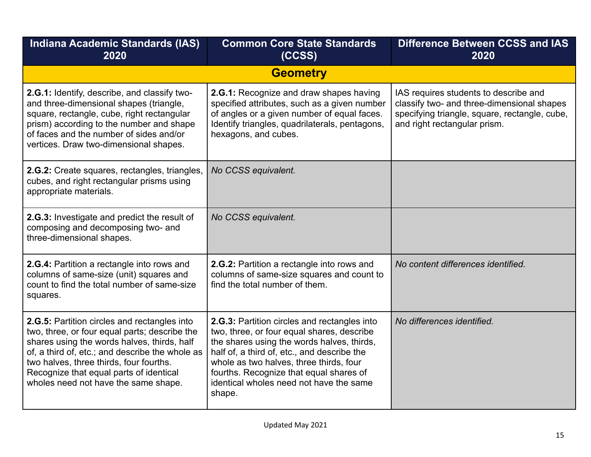| <b>Indiana Academic Standards (IAS)</b><br>2020                                                                                                                                                                                                                                                                               | <b>Common Core State Standards</b><br>(CCSS)                                                                                                                                                                                                                                                                                       | <b>Difference Between CCSS and IAS</b><br>2020                                                                                                                       |  |  |
|-------------------------------------------------------------------------------------------------------------------------------------------------------------------------------------------------------------------------------------------------------------------------------------------------------------------------------|------------------------------------------------------------------------------------------------------------------------------------------------------------------------------------------------------------------------------------------------------------------------------------------------------------------------------------|----------------------------------------------------------------------------------------------------------------------------------------------------------------------|--|--|
| <b>Geometry</b>                                                                                                                                                                                                                                                                                                               |                                                                                                                                                                                                                                                                                                                                    |                                                                                                                                                                      |  |  |
| 2.G.1: Identify, describe, and classify two-<br>and three-dimensional shapes (triangle,<br>square, rectangle, cube, right rectangular<br>prism) according to the number and shape<br>of faces and the number of sides and/or<br>vertices. Draw two-dimensional shapes.                                                        | 2.G.1: Recognize and draw shapes having<br>specified attributes, such as a given number<br>of angles or a given number of equal faces.<br>Identify triangles, quadrilaterals, pentagons,<br>hexagons, and cubes.                                                                                                                   | IAS requires students to describe and<br>classify two- and three-dimensional shapes<br>specifying triangle, square, rectangle, cube,<br>and right rectangular prism. |  |  |
| 2.G.2: Create squares, rectangles, triangles,<br>cubes, and right rectangular prisms using<br>appropriate materials.                                                                                                                                                                                                          | No CCSS equivalent.                                                                                                                                                                                                                                                                                                                |                                                                                                                                                                      |  |  |
| 2.G.3: Investigate and predict the result of<br>composing and decomposing two- and<br>three-dimensional shapes.                                                                                                                                                                                                               | No CCSS equivalent.                                                                                                                                                                                                                                                                                                                |                                                                                                                                                                      |  |  |
| 2.G.4: Partition a rectangle into rows and<br>columns of same-size (unit) squares and<br>count to find the total number of same-size<br>squares.                                                                                                                                                                              | 2.G.2: Partition a rectangle into rows and<br>columns of same-size squares and count to<br>find the total number of them.                                                                                                                                                                                                          | No content differences identified.                                                                                                                                   |  |  |
| 2.G.5: Partition circles and rectangles into<br>two, three, or four equal parts; describe the<br>shares using the words halves, thirds, half<br>of, a third of, etc.; and describe the whole as<br>two halves, three thirds, four fourths.<br>Recognize that equal parts of identical<br>wholes need not have the same shape. | 2.G.3: Partition circles and rectangles into<br>two, three, or four equal shares, describe<br>the shares using the words halves, thirds,<br>half of, a third of, etc., and describe the<br>whole as two halves, three thirds, four<br>fourths. Recognize that equal shares of<br>identical wholes need not have the same<br>shape. | No differences identified.                                                                                                                                           |  |  |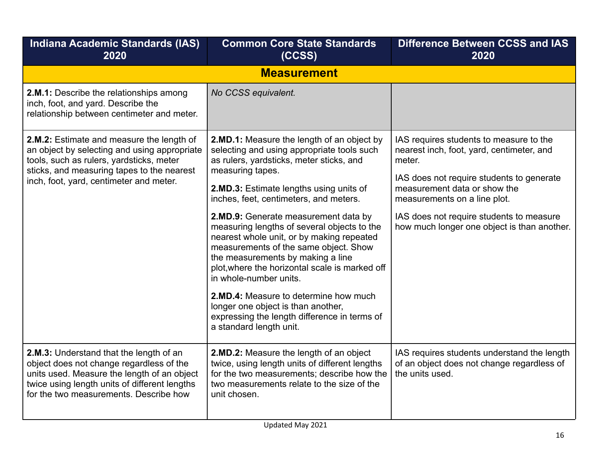| Indiana Academic Standards (IAS)<br>2020                                                                                                                                                                                       | <b>Common Core State Standards</b><br>(CCSS)                                                                                                                                                                                                                                                                                                                                                                                                                                                                                                                                                                                                                                                                 | <b>Difference Between CCSS and IAS</b><br>2020                                                                                                                                                                                                                                                         |  |  |
|--------------------------------------------------------------------------------------------------------------------------------------------------------------------------------------------------------------------------------|--------------------------------------------------------------------------------------------------------------------------------------------------------------------------------------------------------------------------------------------------------------------------------------------------------------------------------------------------------------------------------------------------------------------------------------------------------------------------------------------------------------------------------------------------------------------------------------------------------------------------------------------------------------------------------------------------------------|--------------------------------------------------------------------------------------------------------------------------------------------------------------------------------------------------------------------------------------------------------------------------------------------------------|--|--|
| <b>Measurement</b>                                                                                                                                                                                                             |                                                                                                                                                                                                                                                                                                                                                                                                                                                                                                                                                                                                                                                                                                              |                                                                                                                                                                                                                                                                                                        |  |  |
| 2.M.1: Describe the relationships among<br>inch, foot, and yard. Describe the<br>relationship between centimeter and meter.                                                                                                    | No CCSS equivalent.                                                                                                                                                                                                                                                                                                                                                                                                                                                                                                                                                                                                                                                                                          |                                                                                                                                                                                                                                                                                                        |  |  |
| 2.M.2: Estimate and measure the length of<br>an object by selecting and using appropriate<br>tools, such as rulers, yardsticks, meter<br>sticks, and measuring tapes to the nearest<br>inch, foot, yard, centimeter and meter. | <b>2.MD.1:</b> Measure the length of an object by<br>selecting and using appropriate tools such<br>as rulers, yardsticks, meter sticks, and<br>measuring tapes.<br>2.MD.3: Estimate lengths using units of<br>inches, feet, centimeters, and meters.<br>2.MD.9: Generate measurement data by<br>measuring lengths of several objects to the<br>nearest whole unit, or by making repeated<br>measurements of the same object. Show<br>the measurements by making a line<br>plot, where the horizontal scale is marked off<br>in whole-number units.<br>2.MD.4: Measure to determine how much<br>longer one object is than another,<br>expressing the length difference in terms of<br>a standard length unit. | IAS requires students to measure to the<br>nearest inch, foot, yard, centimeter, and<br>meter.<br>IAS does not require students to generate<br>measurement data or show the<br>measurements on a line plot.<br>IAS does not require students to measure<br>how much longer one object is than another. |  |  |
| 2.M.3: Understand that the length of an<br>object does not change regardless of the<br>units used. Measure the length of an object<br>twice using length units of different lengths<br>for the two measurements. Describe how  | 2.MD.2: Measure the length of an object<br>twice, using length units of different lengths<br>for the two measurements; describe how the<br>two measurements relate to the size of the<br>unit chosen.                                                                                                                                                                                                                                                                                                                                                                                                                                                                                                        | IAS requires students understand the length<br>of an object does not change regardless of<br>the units used.                                                                                                                                                                                           |  |  |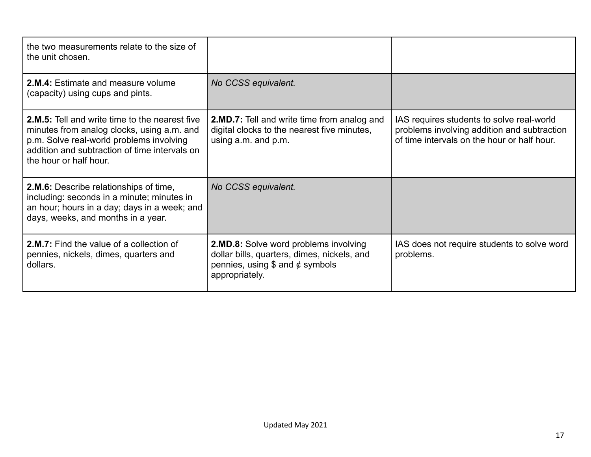| the two measurements relate to the size of<br>the unit chosen.                                                                                                                                                             |                                                                                                                                                |                                                                                                                                         |
|----------------------------------------------------------------------------------------------------------------------------------------------------------------------------------------------------------------------------|------------------------------------------------------------------------------------------------------------------------------------------------|-----------------------------------------------------------------------------------------------------------------------------------------|
| <b>2.M.4: Estimate and measure volume</b><br>(capacity) using cups and pints.                                                                                                                                              | No CCSS equivalent.                                                                                                                            |                                                                                                                                         |
| <b>2.M.5:</b> Tell and write time to the nearest five<br>minutes from analog clocks, using a.m. and<br>p.m. Solve real-world problems involving<br>addition and subtraction of time intervals on<br>the hour or half hour. | <b>2.MD.7:</b> Tell and write time from analog and<br>digital clocks to the nearest five minutes,<br>using a.m. and p.m.                       | IAS requires students to solve real-world<br>problems involving addition and subtraction<br>of time intervals on the hour or half hour. |
| <b>2.M.6:</b> Describe relationships of time,<br>including: seconds in a minute; minutes in<br>an hour; hours in a day; days in a week; and<br>days, weeks, and months in a year.                                          | No CCSS equivalent.                                                                                                                            |                                                                                                                                         |
| <b>2.M.7:</b> Find the value of a collection of<br>pennies, nickels, dimes, quarters and<br>dollars.                                                                                                                       | 2.MD.8: Solve word problems involving<br>dollar bills, quarters, dimes, nickels, and<br>pennies, using \$ and $\phi$ symbols<br>appropriately. | IAS does not require students to solve word<br>problems.                                                                                |